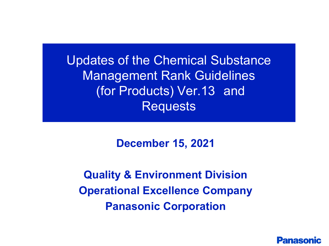Updates of the Chemical Substance Management Rank Guidelines (for Products) Ver.13 and Requests

**December 15, 2021**

**Quality & Environment Division Operational Excellence Company Panasonic Corporation**

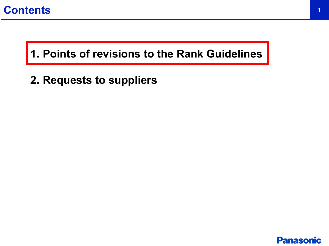

# **1. Points of revisions to the Rank Guidelines**

**2. Requests to suppliers**

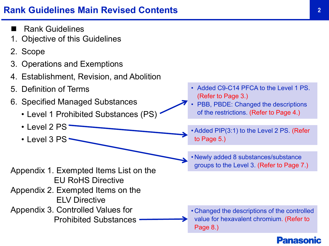# **Rank Guidelines Main Revised Contents** <sup>2</sup>

- Rank Guidelines
- **Objective of this Guidelines**
- 2. Scope
- 3. Operations and Exemptions
- 4. Establishment, Revision, and Abolition
- 5. Definition of Terms
- 6. Specified Managed Substances
	- Level 1 Prohibited Substances (PS)
	- Level 2 PS
	- Level 3 PS ·

Appendix 1. Exempted Items List on the EU RoHS Directive

- Appendix 2. Exempted Items on the ELV Directive
- Appendix 3. Controlled Values for Prohibited Substances
- Added C9-C14 PFCA to the Level 1 PS. (Refer to Page 3.)
- PBB, PBDE: Changed the descriptions of the restrictions. (Refer to Page 4.)
- Added PIP(3:1) to the Level 2 PS. (Refer to Page 5.)
- Newly added 8 substances/substance groups to the Level 3. (Refer to Page 7.)

• Changed the descriptions of the controlled value for hexavalent chromium. (Refer to Page 8.)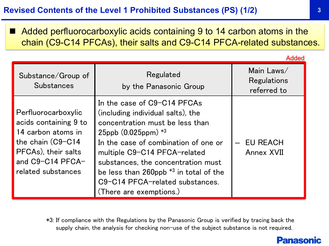Added perfluorocarboxylic acids containing 9 to 14 carbon atoms in the chain (C9-C14 PFCAs), their salts and C9-C14 PFCA-related substances.

|                                                                                                                                                          |                                                                                                                                                                                                                                                                                                                                                            | Added                                    |
|----------------------------------------------------------------------------------------------------------------------------------------------------------|------------------------------------------------------------------------------------------------------------------------------------------------------------------------------------------------------------------------------------------------------------------------------------------------------------------------------------------------------------|------------------------------------------|
| Substance/Group of<br><b>Substances</b>                                                                                                                  | Regulated<br>by the Panasonic Group                                                                                                                                                                                                                                                                                                                        | Main Laws/<br>Regulations<br>referred to |
| Perfluorocarboxylic<br>acids containing 9 to<br>14 carbon atoms in<br>the chain (C9-C14<br>PFCAs), their salts<br>and C9-C14 PFCA-<br>related substances | In the case of C9-C14 PFCAs<br>(including individual salts), the<br>concentration must be less than<br>$25$ ppb $(0.025$ ppm $)*3$<br>In the case of combination of one or<br>multiple C9-C14 PFCA-related<br>substances, the concentration must<br>be less than 260ppb $*3$ in total of the<br>C9-C14 PFCA-related substances.<br>(There are exemptions.) | <b>EU REACH</b><br><b>Annex XVII</b>     |

\*3: If compliance with the Regulations by the Panasonic Group is verified by tracing back the supply chain, the analysis for checking non-use of the subject substance is not required.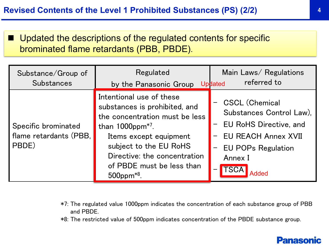■ Updated the descriptions of the regulated contents for specific brominated flame retardants (PBB, PBDE).

| Substance/Group of<br><b>Substances</b>                | Regulated<br>by the Panasonic Group                                                                                                                                                                                                                                 | Main Laws/ Regulations<br>referred to<br><b>Updated</b>                                                                                                           |
|--------------------------------------------------------|---------------------------------------------------------------------------------------------------------------------------------------------------------------------------------------------------------------------------------------------------------------------|-------------------------------------------------------------------------------------------------------------------------------------------------------------------|
| Specific brominated<br>flame retardants (PBB,<br>PBDE) | Intentional use of these<br>substances is prohibited, and<br>the concentration must be less<br>than $1000$ ppm <sup>*7</sup> .<br>Items except equipment<br>subject to the EU RoHS<br>Directive: the concentration<br>of PBDE must be less than<br>$500$ ppm $*8$ . | <b>CSCL (Chemical</b><br>Substances Control Law).<br><b>EU RoHS Directive, and</b><br><b>EU REACH Annex XVII</b><br><b>EU POPs Regulation</b><br>Annex I<br>Added |

- \*7: The regulated value 1000ppm indicates the concentration of each substance group of PBB and PBDE.
- \*8: The restricted value of 500ppm indicates concentration of the PBDE substance group.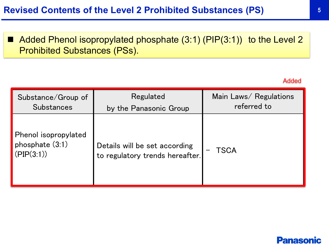■ Added Phenol isopropylated phosphate (3:1) (PIP(3:1)) to the Level 2 Prohibited Substances (PSs).

#### Added

| Substance/Group of                                    | Regulated                                                        | Main Laws/ Regulations |
|-------------------------------------------------------|------------------------------------------------------------------|------------------------|
| <b>Substances</b>                                     | by the Panasonic Group                                           | referred to            |
| Phenol isopropylated<br>phosphate (3:1)<br>(PIP(3:1)) | Details will be set according<br>to regulatory trends hereafter. | TSCA                   |

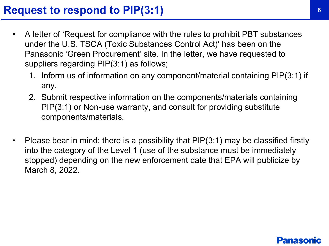- A letter of 'Request for compliance with the rules to prohibit PBT substances under the U.S. TSCA (Toxic Substances Control Act)' has been on the Panasonic 'Green Procurement' site. In the letter, we have requested to suppliers regarding PIP(3:1) as follows;
	- 1. Inform us of information on any component/material containing PIP(3:1) if any.
	- 2. Submit respective information on the components/materials containing PIP(3:1) or Non-use warranty, and consult for providing substitute components/materials.
- Please bear in mind; there is a possibility that  $\text{PIP}(3:1)$  may be classified firstly into the category of the Level 1 (use of the substance must be immediately stopped) depending on the new enforcement date that EPA will publicize by March 8, 2022.

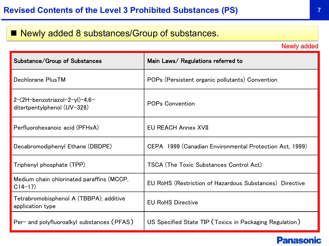# ■ Newly added 8 substances/Group of substances.

Newly added

| Substance/Group of Substances                                | Main Laws/ Regulations referred to                      |
|--------------------------------------------------------------|---------------------------------------------------------|
| Dechlorane PlusTM                                            | POPs (Persistent organic pollutants) Convention         |
| 2-(2H-benzotriazol-2-yl)-4,6-<br>ditertpentylphenol (UV-328) | <b>POPs Convention</b>                                  |
| Perfluorohexanoic acid (PFHxA)                               | <b>EU REACH Annex XVII</b>                              |
| Decabromodiphenyl Ethane (DBDPE)                             | CEPA 1999 (Canadian Environmental Protection Act, 1999) |
| Triphenyl phosphate (TPP)                                    | <b>TSCA (The Toxic Substances Control Act)</b>          |
| Medium chain chlorinated paraffins (MCCP,<br>$C14-17$        | EU RoHS (Restriction of Hazardous Substances) Directive |
| Tetrabromobisphenol A (TBBPA); additive<br>application type  | <b>EU RoHS Directive</b>                                |
| Per- and polyfluoroalkyl substances (PFAS)                   | US Specified State TIP (Toxics in Packaging Regulation) |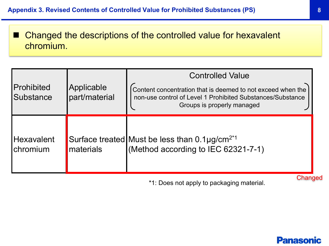■ Changed the descriptions of the controlled value for hexavalent chromium.

|                                        |                             | <b>Controlled Value</b>                                                                                                                                 |  |
|----------------------------------------|-----------------------------|---------------------------------------------------------------------------------------------------------------------------------------------------------|--|
| Prohibited<br><b>Substance</b>         | Applicable<br>part/material | Content concentration that is deemed to not exceed when the<br>non-use control of Level 1 Prohibited Substances/Substance<br>Groups is properly managed |  |
| <b>Hexavalent</b><br><b>I</b> chromium | materials                   | Surface treated Must be less than $0.1 \mu g/cm^{2^{*}1}$<br>(Method according to IEC 62321-7-1)                                                        |  |

\*1: Does not apply to packaging material. Changed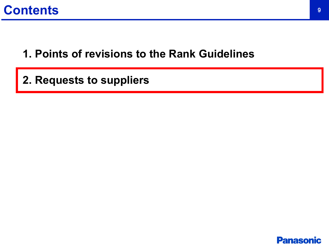# **Contents**

# **1. Points of revisions to the Rank Guidelines**

**2. Requests to suppliers**

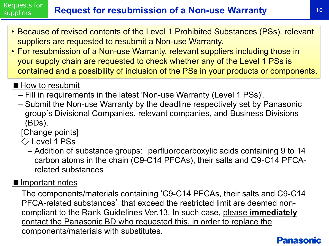#### **Request for resubmission of a Non-use Warranty 10 10** Requests for **suppliers**

- Because of revised contents of the Level 1 Prohibited Substances (PSs), relevant suppliers are requested to resubmit a Non-use Warranty.
- For resubmission of a Non-use Warranty, relevant suppliers including those in your supply chain are requested to check whether any of the Level 1 PSs is contained and a possibility of inclusion of the PSs in your products or components.

# ■ How to resubmit

- Fill in requirements in the latest 'Non-use Warranty (Level 1 PSs)'.
- Submit the Non-use Warranty by the deadline respectively set by Panasonic group's Divisional Companies, relevant companies, and Business Divisions (BDs).

## [Change points]

- $\Diamond$  Level 1 PSs
	- Addition of substance groups: perfluorocarboxylic acids containing 9 to 14 carbon atoms in the chain (C9-C14 PFCAs), their salts and C9-C14 PFCArelated substances

### ■Important notes

The components/materials containing 'C9-C14 PFCAs, their salts and C9-C14 PFCA-related substances' that exceed the restricted limit are deemed noncompliant to the Rank Guidelines Ver.13. In such case, please **immediately** contact the Panasonic BD who requested this, in order to replace the components/materials with substitutes.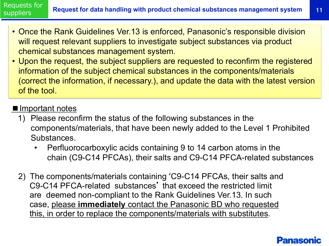Requests for **suppliers** 

- Once the Rank Guidelines Ver.13 is enforced, Panasonic's responsible division will request relevant suppliers to investigate subject substances via product chemical substances management system.
- Upon the request, the subject suppliers are requested to reconfirm the registered information of the subject chemical substances in the components/materials (correct the information, if necessary.), and update the data with the latest version of the tool.

### ■ Important notes

- 1) Please reconfirm the status of the following substances in the components/materials, that have been newly added to the Level 1 Prohibited Substances.
	- Perfluorocarboxylic acids containing 9 to 14 carbon atoms in the chain (C9-C14 PFCAs), their salts and C9-C14 PFCA-related substances
- 2) The components/materials containing 'C9-C14 PFCAs, their salts and C9-C14 PFCA-related substances' that exceed the restricted limit are deemed non-compliant to the Rank Guidelines Ver.13. In such case, please **immediately** contact the Panasonic BD who requested this, in order to replace the components/materials with substitutes.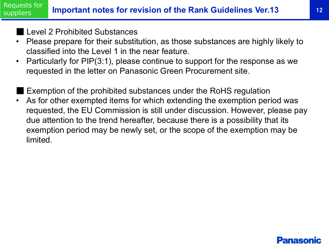#### **Important notes for revision of the Rank Guidelines Ver.13** 12 Requests for suppliers

Level 2 Prohibited Substances

- Please prepare for their substitution, as those substances are highly likely to classified into the Level 1 in the near feature.
- Particularly for PIP(3:1), please continue to support for the response as we requested in the letter on Panasonic Green Procurement site.
- Exemption of the prohibited substances under the RoHS regulation
- As for other exempted items for which extending the exemption period was requested, the EU Commission is still under discussion. However, please pay due attention to the trend hereafter, because there is a possibility that its exemption period may be newly set, or the scope of the exemption may be limited.